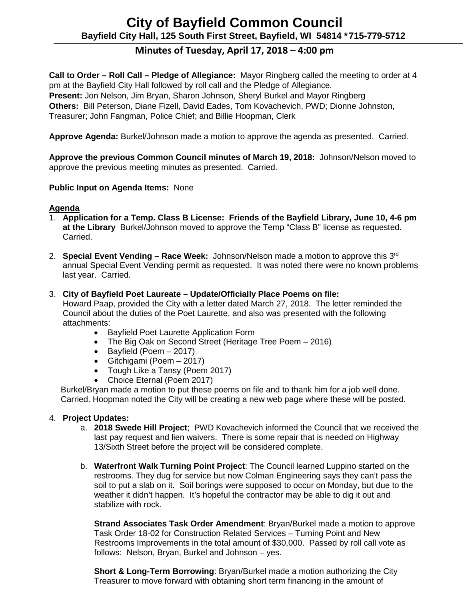# **City of Bayfield Common Council Bayfield City Hall, 125 South First Street, Bayfield, WI 54814 \*715-779-5712**

## **Minutes of Tuesday, April 17, 2018 – 4:00 pm**

**Call to Order – Roll Call – Pledge of Allegiance:** Mayor Ringberg called the meeting to order at 4 pm at the Bayfield City Hall followed by roll call and the Pledge of Allegiance. **Present:** Jon Nelson, Jim Bryan, Sharon Johnson, Sheryl Burkel and Mayor Ringberg **Others:** Bill Peterson, Diane Fizell, David Eades, Tom Kovachevich, PWD; Dionne Johnston, Treasurer; John Fangman, Police Chief; and Billie Hoopman, Clerk

**Approve Agenda:** Burkel/Johnson made a motion to approve the agenda as presented. Carried.

**Approve the previous Common Council minutes of March 19, 2018:** Johnson/Nelson moved to approve the previous meeting minutes as presented. Carried.

#### **Public Input on Agenda Items:** None

#### **Agenda**

- 1. **Application for a Temp. Class B License: Friends of the Bayfield Library, June 10, 4-6 pm at the Library** Burkel/Johnson moved to approve the Temp "Class B" license as requested. Carried.
- 2. **Special Event Vending – Race Week:** Johnson/Nelson made a motion to approve this 3rd annual Special Event Vending permit as requested. It was noted there were no known problems last year. Carried.

#### 3. **City of Bayfield Poet Laureate – Update/Officially Place Poems on file:**

Howard Paap, provided the City with a letter dated March 27, 2018. The letter reminded the Council about the duties of the Poet Laurette, and also was presented with the following attachments:

- Bayfield Poet Laurette Application Form
- The Big Oak on Second Street (Heritage Tree Poem 2016)
- Bayfield (Poem 2017)
- Gitchigami (Poem 2017)
- Tough Like a Tansy (Poem 2017)
- Choice Eternal (Poem 2017)

 Burkel/Bryan made a motion to put these poems on file and to thank him for a job well done. Carried. Hoopman noted the City will be creating a new web page where these will be posted.

#### 4. **Project Updates:**

- a. **2018 Swede Hill Project**; PWD Kovachevich informed the Council that we received the last pay request and lien waivers. There is some repair that is needed on Highway 13/Sixth Street before the project will be considered complete.
- b. **Waterfront Walk Turning Point Project**: The Council learned Luppino started on the restrooms. They dug for service but now Colman Engineering says they can't pass the soil to put a slab on it. Soil borings were supposed to occur on Monday, but due to the weather it didn't happen. It's hopeful the contractor may be able to dig it out and stabilize with rock.

**Strand Associates Task Order Amendment**: Bryan/Burkel made a motion to approve Task Order 18-02 for Construction Related Services – Turning Point and New Restrooms Improvements in the total amount of \$30,000. Passed by roll call vote as follows: Nelson, Bryan, Burkel and Johnson – yes.

**Short & Long-Term Borrowing**: Bryan/Burkel made a motion authorizing the City Treasurer to move forward with obtaining short term financing in the amount of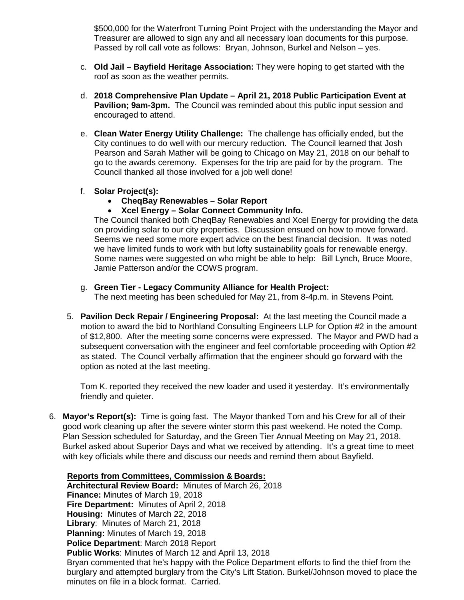\$500,000 for the Waterfront Turning Point Project with the understanding the Mayor and Treasurer are allowed to sign any and all necessary loan documents for this purpose. Passed by roll call vote as follows: Bryan, Johnson, Burkel and Nelson – yes.

- c. **Old Jail – Bayfield Heritage Association:** They were hoping to get started with the roof as soon as the weather permits.
- d. **2018 Comprehensive Plan Update – April 21, 2018 Public Participation Event at Pavilion; 9am-3pm.** The Council was reminded about this public input session and encouraged to attend.
- e. **Clean Water Energy Utility Challenge:** The challenge has officially ended, but the City continues to do well with our mercury reduction. The Council learned that Josh Pearson and Sarah Mather will be going to Chicago on May 21, 2018 on our behalf to go to the awards ceremony. Expenses for the trip are paid for by the program. The Council thanked all those involved for a job well done!
- f. **Solar Project(s):** 
	- **CheqBay Renewables – Solar Report**
	- **Xcel Energy – Solar Connect Community Info.**

The Council thanked both CheqBay Renewables and Xcel Energy for providing the data on providing solar to our city properties. Discussion ensued on how to move forward. Seems we need some more expert advice on the best financial decision. It was noted we have limited funds to work with but lofty sustainability goals for renewable energy. Some names were suggested on who might be able to help: Bill Lynch, Bruce Moore, Jamie Patterson and/or the COWS program.

g. **Green Tier - Legacy Community Alliance for Health Project:**

The next meeting has been scheduled for May 21, from 8-4p.m. in Stevens Point.

5. **Pavilion Deck Repair / Engineering Proposal:** At the last meeting the Council made a motion to award the bid to Northland Consulting Engineers LLP for Option #2 in the amount of \$12,800. After the meeting some concerns were expressed. The Mayor and PWD had a subsequent conversation with the engineer and feel comfortable proceeding with Option #2 as stated. The Council verbally affirmation that the engineer should go forward with the option as noted at the last meeting.

Tom K. reported they received the new loader and used it yesterday. It's environmentally friendly and quieter.

6. **Mayor's Report(s):** Time is going fast. The Mayor thanked Tom and his Crew for all of their good work cleaning up after the severe winter storm this past weekend. He noted the Comp. Plan Session scheduled for Saturday, and the Green Tier Annual Meeting on May 21, 2018. Burkel asked about Superior Days and what we received by attending. It's a great time to meet with key officials while there and discuss our needs and remind them about Bayfield.

#### **Reports from Committees, Commission & Boards: Architectural Review Board:** Minutes of March 26, 2018 **Finance:** Minutes of March 19, 2018 **Fire Department:** Minutes of April 2, 2018 **Housing:** Minutes of March 22, 2018 **Library**: Minutes of March 21, 2018 **Planning:** Minutes of March 19, 2018 **Police Department**: March 2018 Report **Public Works**: Minutes of March 12 and April 13, 2018 Bryan commented that he's happy with the Police Department efforts to find the thief from the burglary and attempted burglary from the City's Lift Station. Burkel/Johnson moved to place the minutes on file in a block format. Carried.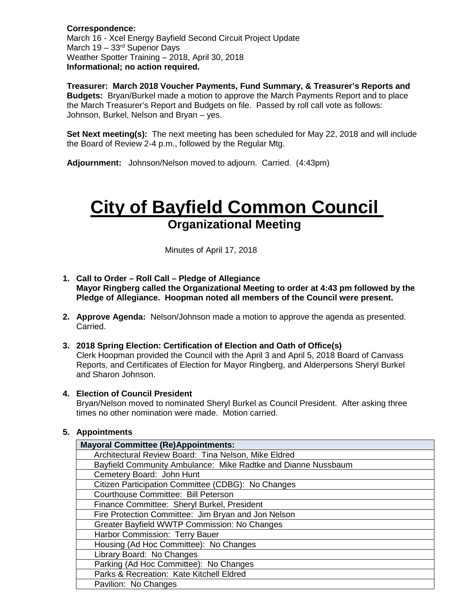**Correspondence:** March 16 - Xcel Energy Bayfield Second Circuit Project Update March  $19 - 33<sup>rd</sup>$  Superior Days Weather Spotter Training – 2018, April 30, 2018 **Informational; no action required.** 

**Treasurer: March 2018 Voucher Payments, Fund Summary, & Treasurer's Reports and Budgets:** Bryan/Burkel made a motion to approve the March Payments Report and to place the March Treasurer's Report and Budgets on file. Passed by roll call vote as follows: Johnson, Burkel, Nelson and Bryan – yes.

**Set Next meeting(s):** The next meeting has been scheduled for May 22, 2018 and will include the Board of Review 2-4 p.m., followed by the Regular Mtg.

**Adjournment:** Johnson/Nelson moved to adjourn. Carried. (4:43pm)

# **City of Bayfield Common Council Organizational Meeting**

Minutes of April 17, 2018

- **1. Call to Order – Roll Call – Pledge of Allegiance Mayor Ringberg called the Organizational Meeting to order at 4:43 pm followed by the Pledge of Allegiance. Hoopman noted all members of the Council were present.**
- **2. Approve Agenda:** Nelson/Johnson made a motion to approve the agenda as presented. Carried.
- **3. 2018 Spring Election: Certification of Election and Oath of Office(s)** Clerk Hoopman provided the Council with the April 3 and April 5, 2018 Board of Canvass Reports, and Certificates of Election for Mayor Ringberg, and Alderpersons Sheryl Burkel and Sharon Johnson.
- **4. Election of Council President**

Bryan/Nelson moved to nominated Sheryl Burkel as Council President. After asking three times no other nomination were made. Motion carried.

#### **5. Appointments**

| <b>Mayoral Committee (Re)Appointments:</b>                    |
|---------------------------------------------------------------|
| Architectural Review Board: Tina Nelson, Mike Eldred          |
| Bayfield Community Ambulance: Mike Radtke and Dianne Nussbaum |
| Cemetery Board: John Hunt                                     |
| Citizen Participation Committee (CDBG): No Changes            |
| Courthouse Committee: Bill Peterson                           |
| Finance Committee: Sheryl Burkel, President                   |
| Fire Protection Committee: Jim Bryan and Jon Nelson           |
| Greater Bayfield WWTP Commission: No Changes                  |
| Harbor Commission: Terry Bauer                                |
| Housing (Ad Hoc Committee): No Changes                        |
| Library Board: No Changes                                     |
| Parking (Ad Hoc Committee): No Changes                        |
| Parks & Recreation: Kate Kitchell Eldred                      |
| Pavilion: No Changes                                          |